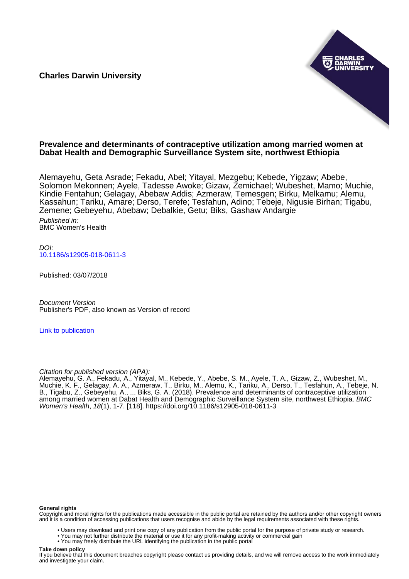**Charles Darwin University**



## **Prevalence and determinants of contraceptive utilization among married women at Dabat Health and Demographic Surveillance System site, northwest Ethiopia**

Alemayehu, Geta Asrade; Fekadu, Abel; Yitayal, Mezgebu; Kebede, Yigzaw; Abebe, Solomon Mekonnen; Ayele, Tadesse Awoke; Gizaw, Zemichael; Wubeshet, Mamo; Muchie, Kindie Fentahun; Gelagay, Abebaw Addis; Azmeraw, Temesgen; Birku, Melkamu; Alemu, Kassahun; Tariku, Amare; Derso, Terefe; Tesfahun, Adino; Tebeje, Nigusie Birhan; Tigabu, Zemene; Gebeyehu, Abebaw; Debalkie, Getu; Biks, Gashaw Andargie

Published in: BMC Women's Health

DOI: [10.1186/s12905-018-0611-3](https://doi.org/10.1186/s12905-018-0611-3)

Published: 03/07/2018

Document Version Publisher's PDF, also known as Version of record

[Link to publication](https://researchers.cdu.edu.au/en/publications/2c30a876-f7e0-4acb-b694-4e5af3b1a93c)

## Citation for published version (APA):

Alemayehu, G. A., Fekadu, A., Yitayal, M., Kebede, Y., Abebe, S. M., Ayele, T. A., Gizaw, Z., Wubeshet, M., Muchie, K. F., Gelagay, A. A., Azmeraw, T., Birku, M., Alemu, K., Tariku, A., Derso, T., Tesfahun, A., Tebeje, N. B., Tigabu, Z., Gebeyehu, A., ... Biks, G. A. (2018). Prevalence and determinants of contraceptive utilization among married women at Dabat Health and Demographic Surveillance System site, northwest Ethiopia. BMC Women's Health, 18(1), 1-7. [118].<https://doi.org/10.1186/s12905-018-0611-3>

#### **General rights**

Copyright and moral rights for the publications made accessible in the public portal are retained by the authors and/or other copyright owners and it is a condition of accessing publications that users recognise and abide by the legal requirements associated with these rights.

- Users may download and print one copy of any publication from the public portal for the purpose of private study or research.
- You may not further distribute the material or use it for any profit-making activity or commercial gain
- You may freely distribute the URL identifying the publication in the public portal

#### **Take down policy**

If you believe that this document breaches copyright please contact us providing details, and we will remove access to the work immediately and investigate your claim.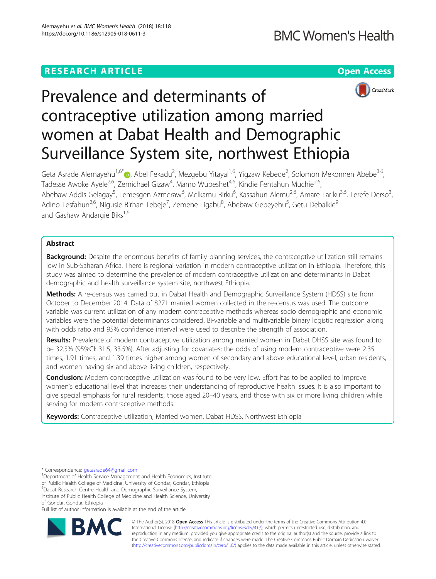## **RESEARCH ARTICLE Example 2014 12:30 The Contract of Contract ACCESS**





# Prevalence and determinants of contraceptive utilization among married women at Dabat Health and Demographic Surveillance System site, northwest Ethiopia

Geta Asrade Alemayehu<sup>1,6[\\*](http://orcid.org/0000-0001-9882-4056)</sup> D, Abel Fekadu<sup>2</sup>, Mezgebu Yitayal<sup>1,6</sup>, Yigzaw Kebede<sup>2</sup>, Solomon Mekonnen Abebe<sup>3,6</sup>, Tadesse Awoke Ayele<sup>2,6</sup>, Zemichael Gizaw<sup>4</sup>, Mamo Wubeshet<sup>4,6</sup>, Kindie Fentahun Muchie<sup>2,6</sup>, Abebaw Addis Gelagay<sup>5</sup>, Temesgen Azmeraw<sup>6</sup>, Melkamu Birku<sup>6</sup>, Kassahun Alemu<sup>2,6</sup>, Amare Tariku<sup>3,6</sup>, Terefe Derso<sup>3</sup> , Adino Tesfahun<sup>2,6</sup>, Nigusie Birhan Tebeje<sup>7</sup>, Zemene Tigabu<sup>8</sup>, Abebaw Gebeyehu<sup>5</sup>, Getu Debalkie<sup>9</sup> and Gashaw Andargie Biks<sup>1,6</sup>

## Abstract

**Background:** Despite the enormous benefits of family planning services, the contraceptive utilization still remains low in Sub-Saharan Africa. There is regional variation in modern contraceptive utilization in Ethiopia. Therefore, this study was aimed to determine the prevalence of modern contraceptive utilization and determinants in Dabat demographic and health surveillance system site, northwest Ethiopia.

Methods: A re-census was carried out in Dabat Health and Demographic Surveillance System (HDSS) site from October to December 2014. Data of 8271 married women collected in the re-census was used. The outcome variable was current utilization of any modern contraceptive methods whereas socio demographic and economic variables were the potential determinants considered. Bi-variable and multivariable binary logistic regression along with odds ratio and 95% confidence interval were used to describe the strength of association.

Results: Prevalence of modern contraceptive utilization among married women in Dabat DHSS site was found to be 32.5% (95%CI: 31.5, 33.5%). After adjusting for covariates; the odds of using modern contraceptive were 2.35 times, 1.91 times, and 1.39 times higher among women of secondary and above educational level, urban residents, and women having six and above living children, respectively.

**Conclusion:** Modern contraceptive utilization was found to be very low. Effort has to be applied to improve women's educational level that increases their understanding of reproductive health issues. It is also important to give special emphasis for rural residents, those aged 20–40 years, and those with six or more living children while serving for modern contraceptive methods.

Keywords: Contraceptive utilization, Married women, Dabat HDSS, Northwest Ethiopia

Institute of Public Health College of Medicine and Health Science, University of Gondar, Gondar, Ethiopia

Full list of author information is available at the end of the article



© The Author(s). 2018 Open Access This article is distributed under the terms of the Creative Commons Attribution 4.0 International License [\(http://creativecommons.org/licenses/by/4.0/](http://creativecommons.org/licenses/by/4.0/)), which permits unrestricted use, distribution, and reproduction in any medium, provided you give appropriate credit to the original author(s) and the source, provide a link to the Creative Commons license, and indicate if changes were made. The Creative Commons Public Domain Dedication waiver [\(http://creativecommons.org/publicdomain/zero/1.0/](http://creativecommons.org/publicdomain/zero/1.0/)) applies to the data made available in this article, unless otherwise stated.

<sup>\*</sup> Correspondence: [getasrade64@gmail.com](mailto:getasrade64@gmail.com) <sup>1</sup>

<sup>&</sup>lt;sup>1</sup>Department of Health Service Management and Health Economics, Institute of Public Health College of Medicine, University of Gondar, Gondar, Ethiopia 6 Dabat Research Centre Health and Demographic Surveillance System,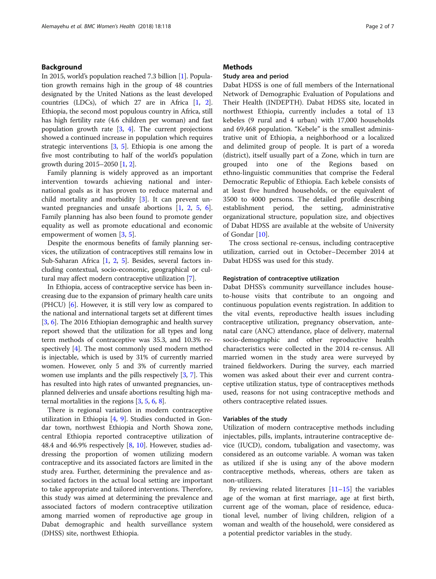## Background

In 2015, world's population reached 7.3 billion [[1\]](#page-6-0). Population growth remains high in the group of 48 countries designated by the United Nations as the least developed countries (LDCs), of which 27 are in Africa [\[1,](#page-6-0) [2](#page-6-0)]. Ethiopia, the second most populous country in Africa, still has high fertility rate (4.6 children per woman) and fast population growth rate  $[3, 4]$  $[3, 4]$  $[3, 4]$  $[3, 4]$ . The current projections showed a continued increase in population which requires strategic interventions [\[3](#page-6-0), [5](#page-6-0)]. Ethiopia is one among the five most contributing to half of the world's population growth during 2015–2050 [[1,](#page-6-0) [2](#page-6-0)].

Family planning is widely approved as an important intervention towards achieving national and international goals as it has proven to reduce maternal and child mortality and morbidity [\[3](#page-6-0)]. It can prevent unwanted pregnancies and unsafe abortions [\[1](#page-6-0), [2,](#page-6-0) [5,](#page-6-0) [6](#page-6-0)]. Family planning has also been found to promote gender equality as well as promote educational and economic empowerment of women [[3,](#page-6-0) [5\]](#page-6-0).

Despite the enormous benefits of family planning services, the utilization of contraceptives still remains low in Sub-Saharan Africa [\[1](#page-6-0), [2](#page-6-0), [5\]](#page-6-0). Besides, several factors including contextual, socio-economic, geographical or cultural may affect modern contraceptive utilization [\[7\]](#page-6-0).

In Ethiopia, access of contraceptive service has been increasing due to the expansion of primary health care units (PHCU) [[6](#page-6-0)]. However, it is still very low as compared to the national and international targets set at different times [[3,](#page-6-0) [6](#page-6-0)]. The 2016 Ethiopian demographic and health survey report showed that the utilization for all types and long term methods of contraceptive was 35.3, and 10.3% respectively [[4](#page-6-0)]. The most commonly used modern method is injectable, which is used by 31% of currently married women. However, only 5 and 3% of currently married women use implants and the pills respectively [[3](#page-6-0), [7](#page-6-0)]. This has resulted into high rates of unwanted pregnancies, unplanned deliveries and unsafe abortions resulting high maternal mortalities in the regions [\[3,](#page-6-0) [5](#page-6-0), [6](#page-6-0), [8](#page-6-0)].

There is regional variation in modern contraceptive utilization in Ethiopia [[4,](#page-6-0) [9](#page-6-0)]. Studies conducted in Gondar town, northwest Ethiopia and North Showa zone, central Ethiopia reported contraceptive utilization of 48.4 and 46.9% respectively [[8,](#page-6-0) [10](#page-6-0)]. However, studies addressing the proportion of women utilizing modern contraceptive and its associated factors are limited in the study area. Further, determining the prevalence and associated factors in the actual local setting are important to take appropriate and tailored interventions. Therefore, this study was aimed at determining the prevalence and associated factors of modern contraceptive utilization among married women of reproductive age group in Dabat demographic and health surveillance system (DHSS) site, northwest Ethiopia.

## **Methods**

## Study area and period

Dabat HDSS is one of full members of the International Network of Demographic Evaluation of Populations and Their Health (INDEPTH). Dabat HDSS site, located in northwest Ethiopia, currently includes a total of 13 kebeles (9 rural and 4 urban) with 17,000 households and 69,468 population. "Kebele" is the smallest administrative unit of Ethiopia, a neighborhood or a localized and delimited group of people. It is part of a woreda (district), itself usually part of a Zone, which in turn are grouped into one of the Regions based on ethno-linguistic communities that comprise the Federal Democratic Republic of Ethiopia. Each kebele consists of at least five hundred households, or the equivalent of 3500 to 4000 persons. The detailed profile describing establishment period, the setting, administrative organizational structure, population size, and objectives of Dabat HDSS are available at the website of University of Gondar [[10\]](#page-6-0).

The cross sectional re-census, including contraceptive utilization, carried out in October–December 2014 at Dabat HDSS was used for this study.

## Registration of contraceptive utilization

Dabat DHSS's community surveillance includes houseto-house visits that contribute to an ongoing and continuous population events registration. In addition to the vital events, reproductive health issues including contraceptive utilization, pregnancy observation, antenatal care (ANC) attendance, place of delivery, maternal socio-demographic and other reproductive health characteristics were collected in the 2014 re-census. All married women in the study area were surveyed by trained fieldworkers. During the survey, each married women was asked about their ever and current contraceptive utilization status, type of contraceptives methods used, reasons for not using contraceptive methods and others contraceptive related issues.

## Variables of the study

Utilization of modern contraceptive methods including injectables, pills, implants, intrauterine contraceptive device (IUCD), condom, tubaligation and vasectomy, was considered as an outcome variable. A woman was taken as utilized if she is using any of the above modern contraceptive methods, whereas, others are taken as non-utilizers.

By reviewing related literatures  $[11-15]$  $[11-15]$  $[11-15]$  the variables age of the woman at first marriage, age at first birth, current age of the woman, place of residence, educational level, number of living children, religion of a woman and wealth of the household, were considered as a potential predictor variables in the study.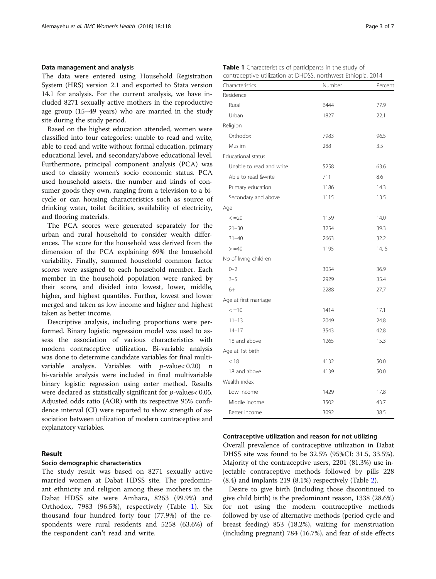#### Data management and analysis

The data were entered using Household Registration System (HRS) version 2.1 and exported to Stata version 14.1 for analysis. For the current analysis, we have included 8271 sexually active mothers in the reproductive age group (15–49 years) who are married in the study site during the study period.

Based on the highest education attended, women were classified into four categories: unable to read and write, able to read and write without formal education, primary educational level, and secondary/above educational level. Furthermore, principal component analysis (PCA) was used to classify women's socio economic status. PCA used household assets, the number and kinds of consumer goods they own, ranging from a television to a bicycle or car, housing characteristics such as source of drinking water, toilet facilities, availability of electricity, and flooring materials.

The PCA scores were generated separately for the urban and rural household to consider wealth differences. The score for the household was derived from the dimension of the PCA explaining 69% the household variability. Finally, summed household common factor scores were assigned to each household member. Each member in the household population were ranked by their score, and divided into lowest, lower, middle, higher, and highest quantiles. Further, lowest and lower merged and taken as low income and higher and highest taken as better income.

Descriptive analysis, including proportions were performed. Binary logistic regression model was used to assess the association of various characteristics with modern contraceptive utilization. Bi-variable analysis was done to determine candidate variables for final multivariable analysis. Variables with  $p$ -value $< 0.20$ ) n bi-variable analysis were included in final multivariable binary logistic regression using enter method. Results were declared as statistically significant for p-values< 0.05. Adjusted odds ratio (AOR) with its respective 95% confidence interval (CI) were reported to show strength of association between utilization of modern contraceptive and explanatory variables.

## Result

## Socio demographic characteristics

The study result was based on 8271 sexually active married women at Dabat HDSS site. The predominant ethnicity and religion among these mothers in the Dabat HDSS site were Amhara, 8263 (99.9%) and Orthodox, 7983 (96.5%), respectively (Table 1). Six thousand four hundred forty four (77.9%) of the respondents were rural residents and 5258 (63.6%) of the respondent can't read and write.

| Characteristics           | Number | Percent |
|---------------------------|--------|---------|
| Residence                 |        |         |
| Rural                     | 6444   | 77.9    |
| Urban                     | 1827   | 22.1    |
| Religion                  |        |         |
| Orthodox                  | 7983   | 96.5    |
| Muslim                    | 288    | 3.5     |
| <b>Educational status</b> |        |         |
| Unable to read and write  | 5258   | 63.6    |
| Able to read &write       | 711    | 8.6     |
| Primary education         | 1186   | 14.3    |
| Secondary and above       | 1115   | 13.5    |
| Age                       |        |         |
| $\leq$ =20                | 1159   | 14.0    |
| $21 - 30$                 | 3254   | 39.3    |
| $31 - 40$                 | 2663   | 32.2    |
| $> = 40$                  | 1195   | 14.5    |
| No of living children     |        |         |
| $0 - 2$                   | 3054   | 36.9    |
| $3 - 5$                   | 2929   | 35.4    |
| $6+$                      | 2288   | 27.7    |
| Age at first marriage     |        |         |
| $\leq$ =10                | 1414   | 17.1    |
| $11 - 13$                 | 2049   | 24.8    |
| $14 - 17$                 | 3543   | 42.8    |
| 18 and above              | 1265   | 15.3    |
| Age at 1st birth          |        |         |
| < 18                      | 4132   | 50.0    |
| 18 and above              | 4139   | 50.0    |
| Wealth index              |        |         |
| Low income                | 1429   | 17.8    |
| Middle income             | 3502   | 43.7    |
| Better income             | 3092   | 38.5    |

## Table 1 Characteristics of participants in the study of contraceptive utilization at DHDSS, northwest Ethiopia, 2014

## Contraceptive utilization and reason for not utilizing

Overall prevalence of contraceptive utilization in Dabat DHSS site was found to be 32.5% (95%CI: 31.5, 33.5%). Majority of the contraceptive users, 2201 (81.3%) use injectable contraceptive methods followed by pills 228 (8.4) and implants 219 (8.1%) respectively (Table [2\)](#page-4-0).

Desire to give birth (including those discontinued to give child birth) is the predominant reason, 1338 (28.6%) for not using the modern contraceptive methods followed by use of alternative methods (period cycle and breast feeding) 853 (18.2%), waiting for menstruation (including pregnant) 784 (16.7%), and fear of side effects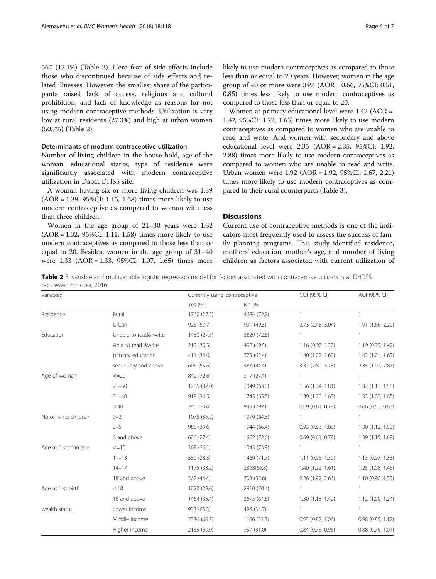<span id="page-4-0"></span>567 (12.1%) (Table [3\)](#page-5-0). Here fear of side effects include those who discontinued because of side effects and related illnesses. However, the smallest share of the participants raised lack of access, religious and cultural prohibition, and lack of knowledge as reasons for not using modern contraceptive methods. Utilization is very low at rural residents (27.3%) and high at urban women (50.7%) (Table 2).

## Determinants of modern contraceptive utilization

Number of living children in the house hold, age of the woman, educational status, type of residence were significantly associated with modern contraceptive utilization in Dabat DHSS site.

A woman having six or more living children was 1.39 (AOR = 1.39, 95%CI: 1.15, 1.68) times more likely to use modern contraceptive as compared to woman with less than three children.

Women in the age group of 21–30 years were 1.32 (AOR = 1.32, 95%CI: 1.11, 1.58) times more likely to use modern contraceptives as compared to those less than or equal to 20. Besides, women in the age group of 31–40 were 1.33 (AOR = 1.33, 95%CI: 1.07, 1.65) times more likely to use modern contraceptives as compared to those less than or equal to 20 years. However, women in the age group of 40 or more were  $34\%$  (AOR = 0.66, 95%CI: 0.51, 0.85) times less likely to use modern contraceptives as compared to those less than or equal to 20.

Women at primary educational level were 1.42 (AOR = 1.42, 95%CI: 1.22, 1.65) times more likely to use modern contraceptives as compared to women who are unable to read and write. And women with secondary and above educational level were 2.35 (AOR = 2.35, 95%CI: 1.92, 2.88) times more likely to use modern contraceptives as compared to women who are unable to read and write. Urban women were 1.92 (AOR = 1.92, 95%CI: 1.67, 2.21) times more likely to use modern contraceptives as compared to their rural counterparts (Table [3](#page-5-0)).

## **Discussions**

Current use of contraceptive methods is one of the indicators most frequently used to assess the success of family planning programs. This study identified residence, mothers' education, mother's age, and number of living children as factors associated with current utilization of

Table 2 Bi variable and multivariable logistic regression model for factors associated with contraceptive utilization at DHDSS, northwest Ethiopia, 2016

| Variables             |                       | Currently using contraceptive |             | COR(95% CI)           | AOR(95% CI)           |
|-----------------------|-----------------------|-------------------------------|-------------|-----------------------|-----------------------|
|                       |                       | Yes (%)                       | No (%)      |                       |                       |
| Residence             | Rural                 | 1760 (27.3)                   | 4684 (72.7) |                       |                       |
|                       | Urban                 | 926 (50.7)                    | 901 (49.3)  | 2.73 (2.45, 3.04)     | 1.91 (1.66, 2.20)     |
| Education             | Unable to read& write | 1450 (27.5)                   | 3829 (72.5) |                       |                       |
|                       | Able to read &write   | 219 (30.5)                    | 498 (69.5)  | 1.16 (0.97, 1.37)     | 1.19 (0.99, 1.42)     |
|                       | primary education     | 411 (34.6)                    | 775 (65.4)  | 1.40 (1.22, 1.60)     | 1.42 (1.21, 1.65)     |
|                       | secondary and above   | 606 (55.6)                    | 483 (44.4)  | 3.31 (2.89, 3.78)     | 2.35 (1.92, 2.87)     |
| Age of woman          | $\leq$ =20            | 842 (72.6)                    | 317 (27.4)  |                       |                       |
|                       | $21 - 30$             | 1205 (37.0)                   | 2049 (63.0) | 1.56 (1.34, 1.81)     | 1.32 (1.11, 1.58)     |
|                       | $31 - 40$             | 918 (34.5)                    | 1745 (65.5) | 1.39 (1.20, 1.62)     | 1.33 (1.07, 1.65)     |
|                       | >40                   | 246 (20.6)                    | 949 (79.4)  | 0.69(0.61, 0.78)      | $0.66$ $(0.51, 0.85)$ |
| No of living children | $0 - 2$               | 1075 (35.2)                   | 1979 (64.8) | $\mathbf{1}$          |                       |
|                       | $3 - 5$               | 985 (33.6)                    | 1944 (66.4) | 0.93(0.83, 1.03)      | 1.30(1.12, 1.50)      |
|                       | 6 and above           | 626 (27.4)                    | 1662 (72.6) | 0.69(0.61, 0.78)      | 1.39 (1.15, 1.68)     |
| Age at first marriage | $\leq$ = 10           | 369 (26.1)                    | 1045 (73.9) | $\mathbf{1}$          | $\mathbf{1}$          |
|                       | $11 - 13$             | 580 (28.3)                    | 1469 (71.7) | 1.11(0.95, 1.30)      | 1.13 (0.97, 1.33)     |
|                       | $14 - 17$             | 1175 (33.2)                   | 2368(66.8)  | 1.40(1.22, 1.61)      | 1.25(1.08, 1.45)      |
|                       | 18 and above          | 562 (44.4)                    | 703 (55.6)  | 2.26 (1.92, 2.66)     | 1.10(0.90, 1.35)      |
| Age at first birth    | < 18                  | 1222 (29.6)                   | 2910 (70.4) | 1                     | 1                     |
|                       | 18 and above          | 1464 (35.4)                   | 2675 (64.6) | 1.30(1.18, 1.42)      | 1.12 (1.00, 1.24)     |
| wealth status         | Lower income          | 933 (65.3)                    | 496 (34.7)  | 1                     | $\mathbf{1}$          |
|                       | Middle income         | 2336 (66.7)                   | 1166 (33.3) | 0.93(0.82, 1.06)      | $0.98$ $(0.85, 1.12)$ |
|                       | Higher income         | 2135 (69.0)                   | 957 (31.0)  | $0.84$ $(0.73, 0.96)$ | $0.88$ $(0.76, 1.01)$ |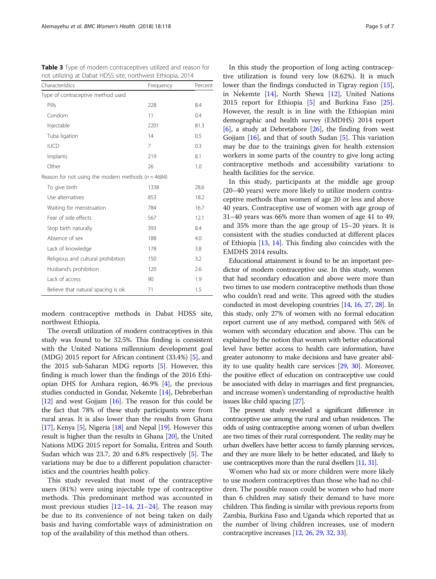<span id="page-5-0"></span>

| Table 3 Type of modern contraceptives utilized and reason for |  |
|---------------------------------------------------------------|--|
| not utilizing at Dabat HDSS site, northwest Ethiopia, 2014    |  |

| Characteristics                                        | Frequency | Percent |  |
|--------------------------------------------------------|-----------|---------|--|
| Type of contraceptive method used                      |           |         |  |
| Pills                                                  | 228       | 8.4     |  |
| Condom                                                 | 11        | 0.4     |  |
| Injectable                                             | 2201      | 81.3    |  |
| Tuba ligation                                          | 14        | 0.5     |  |
| <b>IUCD</b>                                            | 7         | 0.3     |  |
| Implants                                               | 219       | 8.1     |  |
| Other                                                  | 26        | 1.0     |  |
| Reason for not using the modern methods ( $n = 4684$ ) |           |         |  |
| To give birth                                          | 1338      | 28.6    |  |
| Use alternatives                                       | 853       | 18.2    |  |
| Waiting for menstruation                               | 784       | 16.7    |  |
| Fear of side effects                                   | 567       | 12.1    |  |
| Stop birth naturally                                   | 393       | 8.4     |  |
| Absence of sex                                         | 188       | 4.0     |  |
| Lack of knowledge                                      | 178       | 3.8     |  |
| Religious and cultural prohibition                     | 150       | 3.2     |  |
| Husband's prohibition                                  | 120       | 2.6     |  |
| Lack of access                                         | 90        | 1.9     |  |
| Believe that natural spacing is ok                     | 71        | 1.5     |  |

modern contraceptive methods in Dabat HDSS site, northwest Ethiopia.

The overall utilization of modern contraceptives in this study was found to be 32.5%. This finding is consistent with the United Nations millennium development goal (MDG) 2015 report for African continent (33.4%) [[5\]](#page-6-0), and the 2015 sub-Saharan MDG reports [\[5](#page-6-0)]. However, this finding is much lower than the findings of the 2016 Ethiopian DHS for Amhara region, 46.9% [\[4](#page-6-0)], the previous studies conducted in Gondar, Nekemte [[14](#page-7-0)], Debreberhan [[12](#page-7-0)] and west Gojjam  $[16]$ . The reason for this could be the fact that 78% of these study participants were from rural areas. It is also lower than the results from Ghana [[17](#page-7-0)], Kenya [\[5](#page-6-0)], Nigeria  $[18]$  and Nepal [\[19\]](#page-7-0). However this result is higher than the results in Ghana [\[20](#page-7-0)], the United Nations MDG 2015 report for Somalia, Eritrea and South Sudan which was 23.7, 20 and 6.8% respectively [[5\]](#page-6-0). The variations may be due to a different population characteristics and the countries health policy.

This study revealed that most of the contraceptive users (81%) were using injectable type of contraceptive methods. This predominant method was accounted in most previous studies [\[12](#page-7-0)–[14,](#page-7-0) [21](#page-7-0)–[24\]](#page-7-0). The reason may be due to its convenience of not being taken on daily basis and having comfortable ways of administration on top of the availability of this method than others.

In this study the proportion of long acting contraceptive utilization is found very low (8.62%). It is much lower than the findings conducted in Tigray region [\[15](#page-7-0)], in Nekemte [[14\]](#page-7-0), North Shewa [[12](#page-7-0)], United Nations 2015 report for Ethiopia [[5](#page-6-0)] and Burkina Faso [\[25](#page-7-0)]. However, the result is in line with the Ethiopian mini demographic and health survey (EMDHS) 2014 report [[6\]](#page-6-0), a study at Debretabore [[26\]](#page-7-0), the finding from west Gojjam [\[16](#page-7-0)], and that of south Sudan [\[5](#page-6-0)]. This variation may be due to the trainings given for health extension workers in some parts of the country to give long acting contraceptive methods and accessibility variations to health facilities for the service.

In this study, participants at the middle age group (20–40 years) were more likely to utilize modern contraceptive methods than women of age 20 or less and above 40 years. Contraceptive use of women with age group of 31–40 years was 66% more than women of age 41 to 49, and 35% more than the age group of 15–20 years. It is consistent with the studies conducted at different places of Ethiopia [\[13](#page-7-0), [14\]](#page-7-0). This finding also coincides with the EMDHS 2014 results.

Educational attainment is found to be an important predictor of modern contraceptive use. In this study, women that had secondary education and above were more than two times to use modern contraceptive methods than those who couldn't read and write. This agreed with the studies conducted in most developing countries [\[14,](#page-7-0) [16](#page-7-0), [27,](#page-7-0) [28](#page-7-0)]. In this study, only 27% of women with no formal education report current use of any method, compared with 56% of women with secondary education and above. This can be explained by the notion that women with better educational level have better access to health care information, have greater autonomy to make decisions and have greater ability to use quality health care services [\[29,](#page-7-0) [30](#page-7-0)]. Moreover, the positive effect of education on contraceptive use could be associated with delay in marriages and first pregnancies, and increase women's understanding of reproductive health issues like child spacing [[27](#page-7-0)].

The present study revealed a significant difference in contraceptive use among the rural and urban residences. The odds of using contraceptive among women of urban dwellers are two times of their rural correspondent. The reality may be urban dwellers have better access to family planning services, and they are more likely to be better educated, and likely to use contraceptives more than the rural dwellers [\[11](#page-6-0), [31\]](#page-7-0).

Women who had six or more children were more likely to use modern contraceptives than those who had no children. The possible reason could be women who had more than 6 children may satisfy their demand to have more children. This finding is similar with previous reports from Zambia, Burkina Faso and Uganda which reported that as the number of living children increases, use of modern contraceptive increases [[12](#page-7-0), [26,](#page-7-0) [29](#page-7-0), [32](#page-7-0), [33\]](#page-7-0).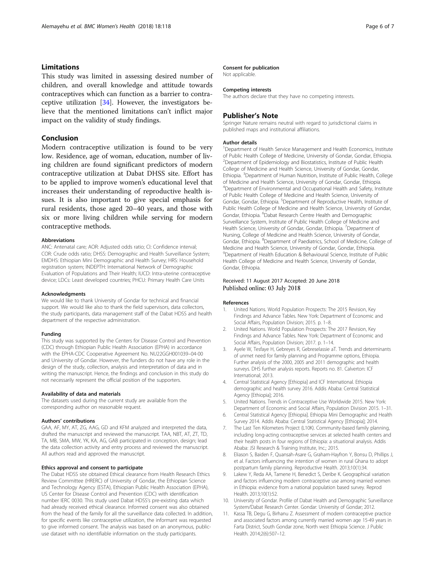## <span id="page-6-0"></span>Limitations

This study was limited in assessing desired number of children, and overall knowledge and attitude towards contraceptives which can function as a barrier to contraceptive utilization [[34\]](#page-7-0). However, the investigators believe that the mentioned limitations can't inflict major impact on the validity of study findings.

## Conclusion

Modern contraceptive utilization is found to be very low. Residence, age of woman, education, number of living children are found significant predictors of modern contraceptive utilization at Dabat DHSS site. Effort has to be applied to improve women's educational level that increases their understanding of reproductive health issues. It is also important to give special emphasis for rural residents, those aged 20–40 years, and those with six or more living children while serving for modern contraceptive methods.

#### Abbreviations

ANC: Antenatal care; AOR: Adjusted odds ratio; CI: Confidence interval; COR: Crude odds ratio; DHSS: Demographic and Health Surveillance System; EMDHS: Ethiopian Mini Demographic and Health Survey; HRS: Household registration system; INDEPTH: International Network of Demographic Evaluation of Populations and Their Health; IUCD: Intra-uterine contraceptive device; LDCs: Least developed countries; PHCU: Primary Health Care Units

#### **Acknowledaments**

We would like to thank University of Gondar for technical and financial support. We would like also to thank the field supervisors, data collectors, the study participants, data management staff of the Dabat HDSS and health department of the respective administration.

#### Funding

This study was supported by the Centers for Disease Control and Prevention (CDC) through Ethiopian Public Health Association (EPHA) in accordance with the EPHA-CDC Cooperative Agreement No. NU22GGH001039–04-00 and University of Gondar. However, the funders do not have any role in the design of the study, collection, analysis and interpretation of data and in writing the manuscript. Hence, the findings and conclusion in this study do not necessarily represent the official position of the supporters.

#### Availability of data and materials

The datasets used during the current study are available from the corresponding author on reasonable request.

#### Authors' contributions

GAA, AF, MY, AT, ZG, AAG, GD and KFM analyzed and interpreted the data, drafted the manuscript and reviewed the manuscript. TAA, NBT, AT, ZT, TD, TA, MB, SMA, MW, YK, KA, AG, GAB participated in conception, design; lead the data collection activity and entry process and reviewed the manuscript. All authors read and approved the manuscript.

## Ethics approval and consent to participate

The Dabat HDSS site obtained Ethical clearance from Health Research Ethics Review Committee (HRERC) of University of Gondar, the Ethiopian Science and Technology Agency (ESTA), Ethiopian Public Health Association (EPHA), US Center for Disease Control and Prevention (CDC) with identification number IERC 0030. This study used Dabat HDSS's pre-existing data which had already received ethical clearance. Informed consent was also obtained from the head of the family for all the surveillance data collected. In addition, for specific events like contraceptive utilization, the informant was requested to give informed consent. The analysis was based on an anonymous, publicuse dataset with no identifiable information on the study participants.

#### Consent for publication

Not applicable.

#### Competing interests

The authors declare that they have no competing interests.

## Publisher's Note

Springer Nature remains neutral with regard to jurisdictional claims in published maps and institutional affiliations.

#### Author details

<sup>1</sup>Department of Health Service Management and Health Economics, Institute of Public Health College of Medicine, University of Gondar, Gondar, Ethiopia. <sup>2</sup>Department of Epidemiology and Biostatistics, Institute of Public Health College of Medicine and Health Science, University of Gondar, Gondar, Ethiopia. <sup>3</sup> Department of Human Nutrition, Institute of Public Health, College of Medicine and Health Science, University of Gondar, Gondar, Ethiopia. 4 Department of Environmental and Occupational Health and Safety, Institute of Public Health College of Medicine and Health Science, University of Gondar, Gondar, Ethiopia. <sup>5</sup>Department of Reproductive Health, Institute of Public Health College of Medicine and Health Science, University of Gondar, Gondar, Ethiopia. <sup>6</sup>Dabat Research Centre Health and Demographic Surveillance System, Institute of Public Health College of Medicine and Health Science, University of Gondar, Gondar, Ethiopia. <sup>7</sup>Department of Nursing, College of Medicine and Health Science, University of Gondar, Gondar, Ethiopia. <sup>8</sup>Department of Paediatrics, School of Medicine, College of Medicine and Health Science, University of Gondar, Gondar, Ethiopia. <sup>9</sup>Department of Health Education & Behavioural Science, Institute of Public Health College of Medicine and Health Science, University of Gondar, Gondar, Ethiopia.

#### Received: 11 August 2017 Accepted: 20 June 2018 Published online: 03 July 2018

#### References

- 1. United Nations. World Population Prospects: The 2015 Revision, Key Findings and Advance Tables. New York: Department of Economic and Social Affairs, Population Division; 2015. p. 1–8.
- 2. United Nations. World Population Prospects: The 2017 Revision, Key Findings and Advance Tables. New York: Department of Economic and Social Affairs, Population Division; 2017. p. 1–14.
- 3. Ayele W, Tesfaye H, Gebreyes R, Gebreselassie aT. Trends and determinants of unmet need for family planning and Programme options, Ethiopia. Further analysis of the 2000, 2005 and 2011 demographic and health surveys. DHS further analysis reports. Reports no. 81. Calverton: ICF International; 2013.
- 4. Central Statistical Agency [Ethiopia] and ICF International. Ethiopia demographic and health survey 2016. Addis Ababa: Central Statistical Agency [Ethiopia]; 2016.
- 5. United Nations. Trends in Contraceptive Use Worldwide 2015. New York: Department of Economic and Social Affairs, Population Division 2015. 1–31.
- 6. Central Statistical Agency [Ethiopia]. Ethiopia Mini Demographic and Health Survey 2014. Addis Ababa: Central Statistical Agency [Ethiopia]; 2014.
- 7. The Last Ten Kilometers Project (L10K). Community-based family planning, including long-acting contraceptive services at selected health centers and their health posts in four regions of Ethiopia: a situational analysis. Addis Ababa: JSI Research & Training Institute, Inc.; 2015.
- 8. Eliason S, Baiden F, Quansah-Asare G, Graham-Hayfron Y, Bonsu D, Phillips J, et al. Factors influencing the intention of women in rural Ghana to adopt postpartum family planning. Reproductive Health. 2013;10(1):34.
- Lakew Y, Reda AA, Tamene H, Benedict S, Deribe K. Geographical variation and factors influencing modern contraceptive use among married women in Ethiopia: evidence from a national population based survey. Reprod Health. 2013;10(1):52.
- 10. University of Gondar. Profile of Dabat Health and Demographic Surveillance System/Dabat Research Center. Gondar: University of Gondar; 2012.
- 11. Kassa TB, Degu G, Birhanu Z. Assessment of modern contraceptive practice and associated factors among currently married women age 15-49 years in Farta District, South Gondar zone, North west Ethiopia Science. J Public Health. 2014;2(6):507–12.